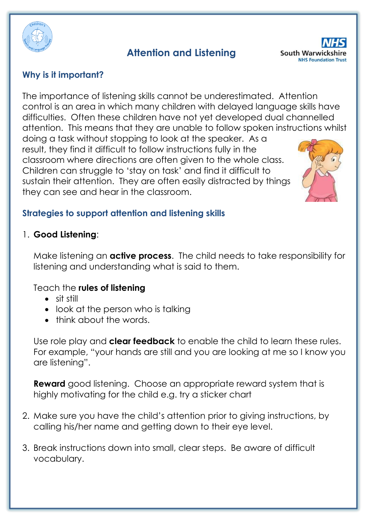

# **Attention and Listening**



## **Why is it important?**

The importance of listening skills cannot be underestimated. Attention control is an area in which many children with delayed language skills have difficulties. Often these children have not yet developed dual channelled attention. This means that they are unable to follow spoken instructions whilst doing a task without stopping to look at the speaker. As a result, they find it difficult to follow instructions fully in the

classroom where directions are often given to the whole class. Children can struggle to 'stay on task' and find it difficult to sustain their attention. They are often easily distracted by things they can see and hear in the classroom.



## **Strategies to support attention and listening skills**

1. **Good Listening**:

Make listening an **active process**. The child needs to take responsibility for listening and understanding what is said to them.

#### Teach the **rules of listening**

- sit still
- look at the person who is talking
- think about the words.

Use role play and **clear feedback** to enable the child to learn these rules. For example, "your hands are still and you are looking at me so I know you are listening".

**Reward** good listening. Choose an appropriate reward system that is highly motivating for the child e.g. try a sticker chart

- 2. Make sure you have the child's attention prior to giving instructions, by calling his/her name and getting down to their eye level.
- 3. Break instructions down into small, clear steps. Be aware of difficult vocabulary.